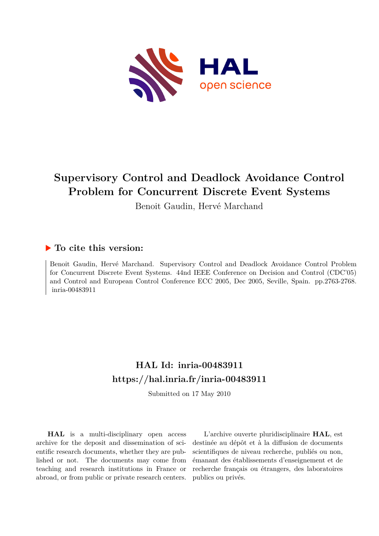

## **Supervisory Control and Deadlock Avoidance Control Problem for Concurrent Discrete Event Systems**

Benoit Gaudin, Hervé Marchand

### **To cite this version:**

Benoit Gaudin, Hervé Marchand. Supervisory Control and Deadlock Avoidance Control Problem for Concurrent Discrete Event Systems. 44nd IEEE Conference on Decision and Control (CDC'05) and Control and European Control Conference ECC 2005, Dec 2005, Seville, Spain. pp.2763-2768. inria-00483911

## **HAL Id: inria-00483911 <https://hal.inria.fr/inria-00483911>**

Submitted on 17 May 2010

**HAL** is a multi-disciplinary open access archive for the deposit and dissemination of scientific research documents, whether they are published or not. The documents may come from teaching and research institutions in France or abroad, or from public or private research centers.

L'archive ouverte pluridisciplinaire **HAL**, est destinée au dépôt et à la diffusion de documents scientifiques de niveau recherche, publiés ou non, émanant des établissements d'enseignement et de recherche français ou étrangers, des laboratoires publics ou privés.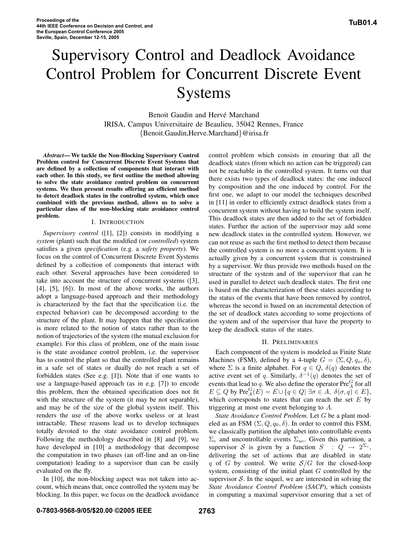# Supervisory Control and Deadlock Avoidance Control Problem for Concurrent Discrete Event **Systems**

Benoit Gaudin and Hervé Marchand IRISA, Campus Universitaire de Beaulieu, 35042 Rennes, France {Benoit.Gaudin,Herve.Marchand}@irisa.fr

*Abstract***— We tackle the Non-Blocking Supervisory Control Problem control for Concurrent Discrete Event Systems that are defined by a collection of components that interact with each other. In this study, we first outline the method allowing to solve the state avoidance control problem on concurrent systems. We then present results offering an efficient method to detect deadlock states in the controlled system, which once combined with the previous method, allows us to solve a particular class of the non-blocking state avoidance control problem.**

#### I. INTRODUCTION

*Supervisory control* ([1], [2]) consists in modifying a *system* (plant) such that the modified (or *controlled*) system satisfies a given *specification* (e.g. a *safety property*). We focus on the control of Concurrent Discrete Event Systems defined by a collection of components that interact with each other. Several approaches have been considered to take into account the structure of concurrent systems ([3], [4], [5], [6]). In most of the above works, the authors adopt a language-based approach and their methodology is characterized by the fact that the specification (i.e. the expected behavior) can be decomposed according to the structure of the plant. It may happen that the specification is more related to the notion of states rather than to the notion of trajectories of the system (the mutual exclusion for example). For this class of problem, one of the main issue is the state avoidance control problem, i.e. the supervisor has to control the plant so that the controlled plant remains in a safe set of states or dually do not reach a set of forbidden states (See e.g. [1]). Note that if one wants to use a language-based approach (as in e.g. [7]) to encode this problem, then the obtained specification does not fit with the structure of the system (it may be not separable), and may be of the size of the global system itself. This renders the use of the above works useless or at least intractable. These reasons lead us to develop techniques totally devoted to the state avoidance control problem. Following the methodology described in [8] and [9], we have developed in [10] a methodology that decompose the computation in two phases (an off-line and an on-line computation) leading to a supervisor than can be easily evaluated on the fly.

In [10], the non-blocking aspect was not taken into account, which means that, once controlled the system may be blocking. In this paper, we focus on the deadlock avoidance

control problem which consists in ensuring that all the deadlock states (from which no action can be triggered) can not be reachable in the controlled system. It turns out that there exists two types of deadlock states: the one induced by composition and the one induced by control. For the first one, we adapt to our model the techniques described in [11] in order to efficiently extract deadlock states from a concurrent system without having to build the system itself. This deadlock states are then added to the set of forbidden states. Further the action of the supervisor may add some new deadlock states in the controlled system. However, we can not reuse as such the first method to detect them because the controlled system is no more a concurrent system. It is actually given by a concurrent system that is constrained by a supervisor. We thus provide two methods based on the structure of the system and of the supervisor that can be used in parallel to detect such deadlock states. The first one is based on the characterization of these states according to the status of the events that have been removed by control, whereas the second is based on an incremental detection of the set of deadlock states according to some projections of the system and of the supervisor that have the property to keep the deadlock status of the states.

#### II. PRELIMINARIES

Each component of the system is modeled as Finite State Machines (FSM), defined by a 4-tuple  $G = (\Sigma, Q, q_o, \delta)$ , where  $\Sigma$  is a finite alphabet. For  $q \in Q$ ,  $\delta(q)$  denotes the active event set of q. Similarly,  $\delta^{-1}(q)$  denotes the set of events that lead to q. We also define the operator  $\text{Pre}_{A}^{G}$  for all  $E \subseteq Q$  by  $\text{Pre}_{A}^{G}(E) = E \cup \{q \in Q | \exists \sigma \in A, \ \delta(\sigma, q) \in E \},$ which corresponds to states that can reach the set  $E$  by triggering at most one event belonging to A.

*State Avoidance Control Problem.* Let G be a plant modeled as an FSM  $(\Sigma, Q, q_0, \delta)$ . In order to control this FSM, we classically partition the alphabet into controllable events  $\Sigma_c$  and uncontrollable events  $\Sigma_{uc}$ . Given this partition, a supervisor S is given by a function  $S : Q \rightarrow 2^{\Sigma_c}$ , delivering the set of actions that are disabled in state q of G by control. We write  $S/G$  for the closed-loop system, consisting of the initial plant G controlled by the supervisor  $S$ . In the sequel, we are interested in solving the *State Avoidance Control Problem* (*SACP*), which consists in computing a maximal supervisor ensuring that a set of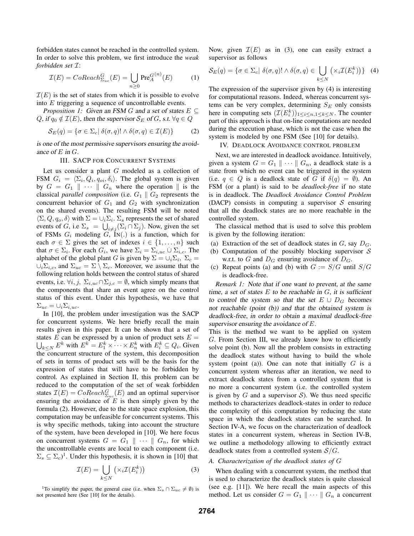forbidden states cannot be reached in the controlled system. In order to solve this problem, we first introduce the *weak forbidden set* I:

$$
\mathcal{I}(E) = CoReach^G_{\Sigma_{uc}}(E) = \bigcup_{n \ge 0} \text{Pre}^{G(n)}_A(E) \tag{1}
$$

 $\mathcal{I}(E)$  is the set of states from which it is possible to evolve into E triggering a sequence of uncontrollable events.

*Proposition 1:* Given an FSM G and a set of states  $E \subseteq$ Q, if  $q_0 \notin \mathcal{I}(E)$ , then the supervisor  $\mathcal{S}_E$  of G, s.t.  $\forall q \in Q$ 

$$
\mathcal{S}_E(q) = \{ \sigma \in \Sigma_c | \delta(\sigma, q)! \wedge \delta(\sigma, q) \in \mathcal{I}(E) \}
$$
 (2)

is one of the most permissive supervisors ensuring the avoidance of E in G.

#### III. SACP FOR CONCURRENT SYSTEMS

Let us consider a plant G modeled as a collection of FSM  $G_i = \langle \Sigma_i, Q_i, q_{oi}, \delta_i \rangle$ . The global system is given by  $G = G_1 || \cdots || G_n$  where the operation  $||$  is the classical *parallel composition* (i.e.  $G_1 \parallel G_2$  represents the concurrent behavior of  $G_1$  and  $G_2$  with synchronization on the shared events). The resulting FSM will be noted  $\langle \Sigma, Q, q_o, \delta \rangle$  with  $\Sigma = \bigcup_i \Sigma_i$ .  $\Sigma_s$  represents the set of shared events of G, i.e  $\Sigma_s = \bigcup_{i \neq j} (\Sigma_i \cap \Sigma_j)$ . Now, given the set of FSMs  $G_i$  modeling  $G_i$ , IN(.) is a function, which for each  $\sigma \in \Sigma$  gives the set of indexes  $i \in \{1, \ldots, n\}$  such that  $\sigma \in \Sigma_i$ . For each  $G_i$ , we have  $\Sigma_i = \Sigma_{i,uc} \cup \Sigma_{i,c}$ . The alphabet of the global plant G is given by  $\Sigma = \cup_i \Sigma_i$ ,  $\Sigma_c =$  $\cup_i \Sigma_{i,c}$ , and  $\Sigma_{uc} = \Sigma \setminus \Sigma_c$ . Moreover, we assume that the following relation holds between the control status of shared events, i.e.  $\forall i, j, \Sigma_{i,uc} \cap \Sigma_{j,c} = \emptyset$ , which simply means that the components that share an event agree on the control status of this event. Under this hypothesis, we have that  $\Sigma_{uc} = \cup_i \Sigma_{i,uc}.$ 

In [10], the problem under investigation was the SACP for concurrent systems. We here briefly recall the main results given in this paper. It can be shown that a set of states E can be expressed by a union of product sets  $E =$  $\bigcup_{k\leq N} E^k$  with  $E^k = E_1^k \times \cdots \times E_n^k$  with  $E_i^k \subseteq Q_i$ . Given the concurrent structure of the system, this decomposition of sets in terms of product sets will be the basis for the expression of states that will have to be forbidden by control. As explained in Section II, this problem can be reduced to the computation of the set of weak forbidden states  $\mathcal{I}(E) = CoReach^G_{\Sigma_{uc}}(E)$  and an optimal supervisor ensuring the avoidance of  $E$  is then simply given by the formula (2). However, due to the state space explosion, this computation may be unfeasible for concurrent systems. This is why specific methods, taking into account the structure of the system, have been developed in [10]. We here focus on concurrent systems  $G = G_1 || \cdots || G_n$ , for which the uncontrollable events are local to each component (i.e.  $\Sigma_s \subseteq \Sigma_c$ <sup>1</sup>. Under this hypothesis, it is shown in [10] that

$$
\mathcal{I}(E) = \bigcup_{k \le N} \left( \times_i \mathcal{I}(E_i^k) \right) \tag{3}
$$

<sup>1</sup>To simplify the paper, the general case (i.e. when  $\Sigma_s \cap \Sigma_{uc} \neq \emptyset$ ) is not presented here (See [10] for the details).

Now, given  $\mathcal{I}(E)$  as in (3), one can easily extract a supervisor as follows

$$
\mathcal{S}_E(q) = \{ \sigma \in \Sigma_c | \delta(\sigma, q)! \wedge \delta(\sigma, q) \in \bigcup_{k \le N} \left( \times_i \mathcal{I}(E_i^k) \right) \} \tag{4}
$$

The expression of the supervisor given by (4) is interesting for computational reasons. Indeed, whereas concurrent systems can be very complex, determining  $S_E$  only consists here in computing sets  $(\mathcal{I}(E_i^k))_{1 \leq i \leq n, 1 \leq k \leq N}$ . The counter part of this approach is that on-line computations are needed during the execution phase, which is not the case when the system is modeled by one FSM (See [10] for details).

#### IV. DEADLOCK AVOIDANCE CONTROL PROBLEM

Next, we are interested in deadlock avoidance. Intuitively, given a system  $G = G_1 \parallel \cdots \parallel G_n$ , a deadlock state is a state from which no event can be triggered in the system (i.e.  $q \in Q$  is a deadlock state of G if  $\delta(q) = \emptyset$ ). An FSM (or a plant) is said to be *deadlock-free* if no state is in deadlock. The *Deadlock Avoidance Control Problem* (DACP) consists in computing a supervisor  $S$  ensuring that all the deadlock states are no more reachable in the controlled system.

The classical method that is used to solve this problem is given by the following iteration:

- (a) Extraction of the set of deadlock states in  $G$ , say  $D_G$ .
- (b) Computation of the possibly blocking supervisor  $S$ w.r.t. to G and  $D_G$  ensuring avoidance of  $D_G$ .
- (c) Repeat points (a) and (b) with  $G := S/G$  until  $S/G$ is deadlock-free.

*Remark 1:* Note that if one want to prevent, at the same time, a set of states  $E$  to be reachable in  $G$ , it is sufficient to control the system so that the set  $E \cup D_G$  becomes not reachable (point (b)) and that the obtained system is deadlock-free, in order to obtain <sup>a</sup> maximal deadlock-free supervisor ensuring the avoidance of E.

This is the method we want to be applied on system G. From Section III, we already know how to efficiently solve point (b). Now all the problem consists in extracting the deadlock states without having to build the whole system (point (a)). One can note that initially  $G$  is a concurrent system whereas after an iteration, we need to extract deadlock states from a controlled system that is no more a concurrent system (i.e. the controlled system is given by  $G$  and a supervisor  $S$ ). We thus need specific methods to characterizes deadlock-states in order to reduce the complexity of this computation by reducing the state space in which the deadlock states can be searched. In Section IV-A, we focus on the characterization of deadlock states in a concurrent system, whereas in Section IV-B, we outline a methodology allowing to efficiently extract deadlock states from a controlled system  $S/G$ .

#### *A. Characterization of the deadlock states of* G

When dealing with a concurrent system, the method that is used to characterize the deadlock states is quite classical (see e.g. [11]). We here recall the main aspects of this method. Let us consider  $G = G_1 \parallel \cdots \parallel G_n$  a concurrent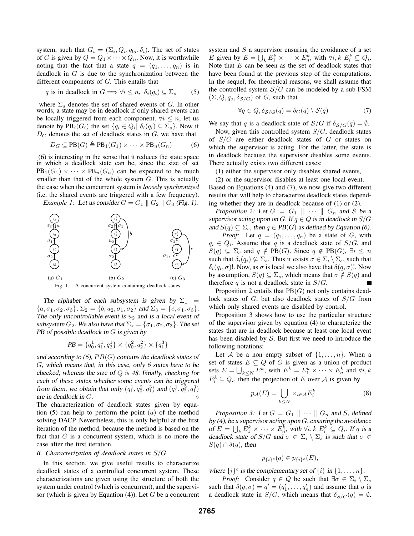system, such that  $G_i = (\Sigma_i, Q_i, q_{0i}, \delta_i)$ . The set of states of G is given by  $Q = Q_1 \times \cdots \times Q_n$ . Now, it is worthwhile noting that the fact that a state  $q = (q_1, \ldots, q_n)$  is in deadlock in  $G$  is due to the synchronization between the different components of G. This entails that

q is in deadlock in 
$$
G \Longrightarrow \forall i \leq n, \ \delta_i(q_i) \subseteq \Sigma_s
$$
 (5)

where  $\Sigma_s$  denotes the set of shared events of G. In other words, a state may be in deadlock if only shared events can be locally triggered from each component.  $\forall i \leq n$ , let us denote by  $PB_i(G_i)$  the set  $\{q_i \in Q_i | \delta_i(q_i) \subseteq \Sigma_s\}$ . Now if  $D_G$  denotes the set of deadlock states in  $G$ , we have that

$$
D_G \subseteq \text{PB}(G) \triangleq \text{PB}_1(G_1) \times \cdots \times \text{PB}_n(G_n) \tag{6}
$$

(6) is interesting in the sense that it reduces the state space in which a deadlock state can be, since the size of set  $PB_1(G_1) \times \cdots \times PB_n(G_n)$  can be expected to be much smaller than that of the whole system  $G$ . This is actually the case when the concurrent system is *loosely synchronized* (i.e. the shared events are triggered with a few frequency). *Example 1:* Let us consider  $G = G_1 \parallel G_2 \parallel G_3$  (Fig. 1).



The alphabet of each subsystem is given by  $\Sigma_1$  =  $\{a, \sigma_1, \sigma_2, \sigma_3\}, \Sigma_2 = \{b, u_2, \sigma_1, \sigma_2\}$  and  $\Sigma_3 = \{c, \sigma_1, \sigma_3\}.$ The only uncontrollable event is  $u_2$  and is a local event of subsystem  $G_2$ . We also have that  $\Sigma_s = {\sigma_1, \sigma_2, \sigma_3}$ . The set PB of possible deadlock in  $G$  is given by

$$
PB = \{q_0^1, q_1^1, q_2^1\} \times \{q_0^2, q_2^2\} \times \{q_1^3\}
$$

and according to  $(6)$ ,  $PB(G)$  contains the deadlock states of G, which means that, in this case, only <sup>6</sup> states have to be checked, whereas the size of Q is 48. Finally, checking for each of these states whether some events can be triggered from them, we obtain that only  $(q_1^1, q_0^2, q_1^3)$  and  $(q_1^1, q_2^2, q_1^3)$ are in deadlock in G. The characterization of deadlock states given by equation (5) can help to perform the point  $(a)$  of the method solving DACP. Nevertheless, this is only helpful at the first iteration of the method, because the method is based on the fact that  $G$  is a concurrent system, which is no more the case after the first iteration.

#### *B. Characterization of deadlock states in* S/G

In this section, we give useful results to characterize deadlock states of a controlled concurrent system. These characterizations are given using the structure of both the system under control (which is concurrent), and the supervisor (which is given by Equation  $(4)$ ). Let G be a concurrent system and S a supervisor ensuring the avoidance of a set E given by  $E = \bigcup_k E_1^k \times \cdots \times E_n^k$ , with  $\forall i, k \ E_i^k \subseteq Q_i$ . Note that  $E$  can be seen as the set of deadlock states that have been found at the previous step of the computations. In the sequel, for theoretical reasons, we shall assume that the controlled system  $S/G$  can be modeled by a sub-FSM  $(\Sigma, Q, q_o, \delta_{S/G})$  of G, such that

$$
\forall q \in Q, \delta_{\mathcal{S}/G}(q) = \delta_G(q) \setminus \mathcal{S}(q)
$$
 (7)

We say that q is a deadlock state of  $S/G$  if  $\delta_{S/G}(q) = \emptyset$ .

Now, given this controlled system  $S/G$ , deadlock states of  $S/G$  are either deadlock states of G or states on which the supervisor is acting. For the latter, the state is in deadlock because the supervisor disables some events. There actually exists two different cases:

(1) either the supervisor only disables shared events,

(2) or the supervisor disables at least one local event. Based on Equations (4) and (7), we now give two different results that will help to characterize deadlock states depending whether they are in deadlock because of (1) or (2).

*Proposition 2:* Let  $G = G_1 \parallel \cdots \parallel G_n$  and S be a supervisor acting upon on G. If  $q \in Q$  is in deadlock in  $S/G$ and  $S(q) \subseteq \Sigma_s$ , then  $q \in PB(G)$  as defined by Equation (6).

*Proof:* Let  $q = (q_1, \ldots, q_n)$  be a state of G, with  $q_i \in Q_i$ . Assume that q is a deadlock state of  $S/G$ , and  $S(q) \subseteq \Sigma_s$  and  $q \notin PB(G)$ . Since  $q \notin PB(G)$ ,  $\exists i \leq n$ such that  $\delta_i(q_i) \nsubseteq \Sigma_s$ . Thus it exists  $\sigma \in \Sigma_i \setminus \Sigma_s$ , such that  $\delta_i(q_i, \sigma)!$ . Now, as  $\sigma$  is local we also have that  $\delta(q, \sigma)!$ . Now by assumption,  $S(q) \subseteq \Sigma_s$ , which means that  $\sigma \notin S(q)$  and therefore q is not a deadlock state in  $S/G$ .

Proposition 2 entails that  $PB(G)$  not only contains deadlock states of  $G$ , but also deadlock states of  $S/G$  from which only shared events are disabled by control.

Proposition 3 shows how to use the particular structure of the supervisor given by equation (4) to characterize the states that are in deadlock because at least one local event has been disabled by  $S$ . But first we need to introduce the following notations:

Let A be a non empty subset of  $\{1,\ldots,n\}$ . When a set of states  $E \subseteq Q$  of G is given as a union of product sets  $E = \bigcup_{k \leq N} E^k$ , with  $E^k = E_1^k \times \cdots \times E_n^k$  and  $\forall i, k$  $E_i^k \subseteq Q_i$ , then the projection of E over A is given by

$$
p_{\mathcal{A}}(E) = \bigcup_{k \le N} \times_{i \in \mathcal{A}} E_i^k \tag{8}
$$

*Proposition 3:* Let  $G = G_1 \parallel \cdots \parallel G_n$  and S, defined by  $(4)$ , be a supervisor acting upon  $G$ , ensuring the avoidance of  $E = \bigcup_k E_1^k \times \cdots \times E_n^k$ , with  $\forall i, k \in \mathbb{F}_i^k \subseteq Q_i$ . If q is a deadlock state of  $S/G$  and  $\sigma \in \Sigma_i \setminus \Sigma_s$  is such that  $\sigma \in$  $S(q) \cap \delta(q)$ , then

$$
p_{\{i\}^c}(q) \in p_{\{i\}^c}(E),
$$

where  $\{i\}^c$  is the complementary set of  $\{i\}$  in  $\{1,\ldots,n\}$ .

*Proof:* Consider  $q \in Q$  be such that  $\exists \sigma \in \Sigma_i \setminus \Sigma_s$ such that  $\delta(q, \sigma) = q' = (q'_1, \ldots, q'_n)$  and assume that q is a deadlock state in  $S/G$ , which means that  $\delta_{S/G}(q) = \emptyset$ .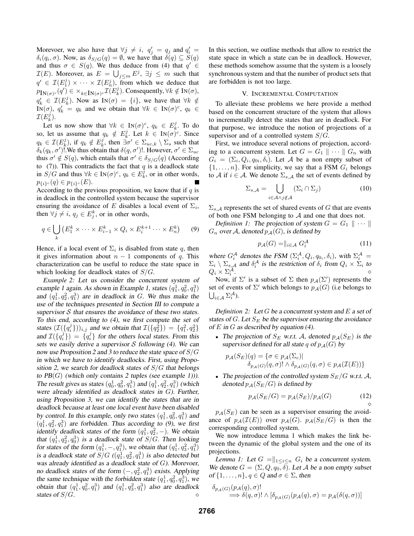Morevoer, we also have that  $\forall j \neq i, q'_j = q_j$  and  $q'_i = q_j$  $\delta_i(q_i, \sigma)$ . Now, as  $\delta_{S/G}(q) = \emptyset$ , we have that  $\delta(q) \subseteq S(q)$ and thus  $\sigma \in S(q)$ . We thus deduce from (4) that  $q' \in$  $\mathcal{I}(E)$ . Moreover, as  $E = \bigcup_{j \leq m} E^j$ ,  $\exists j \leq m$  such that  $q' \in \mathcal{I}(E_1^j) \times \cdots \times \mathcal{I}(E_n^j)$ , from which we deduce that  $p_{\text{IN}(\sigma)^c}(q') \in \times_{k \in \text{IN}(\sigma)^c} \mathcal{I}(E_k^j)$ . Consequently,  $\forall k \notin \text{IN}(\sigma)$ ,  $q'_k \in \mathcal{I}(E^j_k)$ . Now as  $\text{IN}(\sigma) = \{i\}$ , we have that  $\forall k \notin$ IN( $\sigma$ ),  $q'_k = q_k$  and we obtain that  $\forall k \in \text{IN}(\sigma)^c$ ,  $q_k \in$  $\mathcal{I}(E_k^j)$ .

Let us now show that  $\forall k \in \mathbb{N}(\sigma)^c$ ,  $q_k \in E_k^j$ . To do so, let us assume that  $q_k \notin E_k^j$ . Let  $k \in \text{IN}(\sigma)^c$ . Since  $q_k \in \mathcal{I}(E_k^j)$ , if  $q_k \notin E_k^j$ , then  $\exists \sigma' \in \Sigma_{uc,k} \setminus \Sigma_s$  such that  $\delta_k(q_k, \sigma')!$ . We thus obtain that  $\delta(q, \sigma')!$ . However,  $\sigma' \in \Sigma_{uc}$ thus  $\sigma' \notin S(q)$ , which entails that  $\sigma' \in \delta_{S/G}(q)$  (According to  $(7)$ ). This contradicts the fact that q is a deadlock state in  $S/G$  and thus  $\forall k \in \text{IN}(\sigma)^c$ ,  $q_k \in E_k^{\tilde{j}}$ , or in other words,  $p_{\{i\}^c}(q) \in p_{\{i\}^c}(E).$ 

According to the previous proposition, we know that if  $q$  is in deadlock in the controlled system because the supervisor ensuring the avoidance of E disables a local event of  $\Sigma_i$ , then  $\forall j \neq i, q_j \in E_j^k$ , or in other words,

$$
q \in \bigcup_{k} \left( E_1^k \times \dots \times E_{i-1}^k \times Q_i \times E_i^{k+1} \dots \times E_n^k \right) \tag{9}
$$

Hence, if a local event of  $\Sigma_i$  is disabled from state q, then it gives information about  $n - 1$  components of q. This characterization can be useful to reduce the state space in which looking for deadlock states of S/G.

*Example 2:* Let us consider the concurrent system of example 1 again. As shown in Example 1, states  $(q_1^1, q_0^2, q_1^3)$ and  $(q_1^1, q_2^2, q_1^3)$  are in deadlock in G. We thus make the use of the techniques presented in Section III to compute <sup>a</sup> supervisor  $S$  that ensures the avoidance of these two states. To this end, according to (4), we first compute the set of states  $(\mathcal{I}(\lbrace q_i^j \rbrace))_{i,j}$  and we obtain that  $\mathcal{I}(\lbrace q_2^2 \rbrace) = \lbrace q_1^2, q_2^2 \rbrace$ and  $\mathcal{I}(\lbrace q_i^j \rbrace) = \lbrace q_i^j \rbrace$  for the others local states. From this sets we easily derive a supervisor  $S$  following (4). We can now use Proposition 2 and 3 to reduce the state space of  $S/G$ in which we have to identify deadlocks. First, using Proposition 2, we search for deadlock states of  $S/G$  that belongs to  $PB(G)$  (which only contains 2 tuples (see example 1))). The result gives us states  $(q_0^1, q_0^2, q_1^3)$  and  $(q_1^1, q_2^2, q_1^3)$  (which were already identified as deadlock states in  $G$ ). Further, using Proposition 3, we can identify the states that are in deadlock because at least one local event have been disabled by control. In this example, only two states  $(q_1^1, q_0^2, q_1^3)$  and  $(q_1^1, q_2^2, q_1^3)$  are forbidden. Thus according to (9), we first identify deadlock states of the form  $(q_1^1, q_2^2, -)$ . We obtain that  $(q_1^1, q_2^2, q_0^3)$  is a deadlock state of  $S/G$ . Then looking for states of the form  $(q_1^1, -, q_1^3)$ , we obtain that  $(q_1^1, q_3^2, q_1^3)$ is a deadlock state of  $S/G$   $((q_1^1, q_2^2, q_1^3)$  is also detected but was already identified as <sup>a</sup> deadlock state of G). Morevoer, no deadlock states of the form  $(-, q_2^2, q_1^3)$  exists. Applying the same technique with the forbidden state  $(q_1^1, q_0^2, q_1^3)$ , we obtain that  $(q_1^1, q_0^2, q_1^3)$  and  $(q_1^1, q_3^2, q_1^3)$  also are deadlock states of S/G.

In this section, we outline methods that allow to restrict the state space in which a state can be in deadlock. However, these methods somehow assume that the system is a loosely synchronous system and that the number of product sets that are forbidden is not too large.

#### V. INCREMENTAL COMPUTATION

To alleviate these problems we here provide a method based on the concurrent structure of the system that allows to incrementally detect the states that are in deadlock. For that purpose, we introduce the notion of projections of a supervisor and of a controlled system  $S/G$ .

First, we introduce several notions of projection, according to a concurrent system. Let  $G = G_1 \parallel \cdots \parallel G_n$  with  $G_i = (\Sigma_i, Q_i, q_{0i}, \delta_i)$ . Let A be a non empty subset of  $\{1,\ldots,n\}$ . For simplicity, we say that a FSM  $G_i$  belongs to A if  $i \in A$ . We denote  $\sum_{s \in A}$  the set of events defined by

$$
\Sigma_{s,\mathcal{A}} = \bigcup_{i \in \mathcal{A} \wedge j \notin \mathcal{A}} (\Sigma_i \cap \Sigma_j) \tag{10}
$$

 $\Sigma_{s,A}$  represents the set of shared events of G that are events of both one FSM belonging to  $A$  and one that does not.

*Definition 1:* The projection of system  $G = G_1 \parallel \cdots \parallel$  $G_n$  over A, denoted  $p_{\mathcal{A}}(G)$ , is defined by

$$
p_{\mathcal{A}}(G) = ||_{i \in \mathcal{A}} G_i^{\mathcal{A}} \tag{11}
$$

where  $G_i^{\mathcal{A}}$  denotes the FSM  $(\Sigma_i^{\mathcal{A}}, Q_i, q_{0_i}, \delta_i)$ , with  $\Sigma_i^{\mathcal{A}} =$  $\Sigma_i \setminus \Sigma_{s,A}$  and  $\delta_i^A$  is the restriction of  $\delta_i$  from  $Q_i \times \Sigma_i$  to  $Q_i \times \Sigma_i^{\mathcal{A}}$ .

Now, if  $\Sigma'$  is a subset of  $\Sigma$  then  $p_{\mathcal{A}}(\Sigma')$  represents the set of events of  $\Sigma'$  which belongs to  $p_{\mathcal{A}}(G)$  (i.e belongs to  $\bigcup_{i\in\mathcal{A}}\Sigma_i^{\mathcal{A}}$ ).

*Definition 2:* Let G be <sup>a</sup> concurrent system and E <sup>a</sup> set of states of G. Let  $S_E$  be the supervisor ensuring the avoidance of  $E$  in  $G$  as described by equation (4).

• The projection of  $S_E$  w.r.t. A, denoted  $p_A(S_E)$  is the supervisor defined for all state q of  $p_{\mathcal{A}}(G)$  by

$$
p_{\mathcal{A}}(S_E)(q) = \{ \sigma \in p_{\mathcal{A}}(\Sigma_c) | \newline \delta_{p_{\mathcal{A}}(G)}(q, \sigma) | \land \delta_{p_{\mathcal{A}}(G)}(q, \sigma) \in p_{\mathcal{A}}(\mathcal{I}(E)) \}
$$

• The projection of the controlled system  $S_E/G$  w.r.t. A, denoted  $p_A(S_E/G)$  is defined by

$$
p_{\mathcal{A}}(S_E/G) = p_{\mathcal{A}}(S_E)/p_{\mathcal{A}}(G) \tag{12}
$$

 $p_{\mathcal{A}}(S_E)$  can be seen as a supervisor ensuring the avoidance of  $p_{\mathcal{A}}(\mathcal{I}(E))$  over  $p_{\mathcal{A}}(G)$ .  $p_{\mathcal{A}}(S_E/G)$  is then the corresponding controlled system.

We now introduce lemma 1 which makes the link between the dynamic of the global system and the one of its projections.

*Lemma 1:* Let  $G = ||_{1 \leq i \leq n} G_i$  be a concurrent system. We denote  $G = (\Sigma, Q, q_0, \delta)$ . Let A be a non empty subset of  $\{1,\ldots,n\}$ ,  $q \in Q$  and  $\sigma \in \Sigma$ , then

$$
\delta_{p_{\mathcal{A}}(G)}(p_{\mathcal{A}}(q), \sigma)!
$$
  
\n
$$
\Longrightarrow \delta(q, \sigma)!\wedge[\delta_{p_{\mathcal{A}}(G)}(p_{\mathcal{A}}(q), \sigma) = p_{\mathcal{A}}(\delta(q, \sigma))]
$$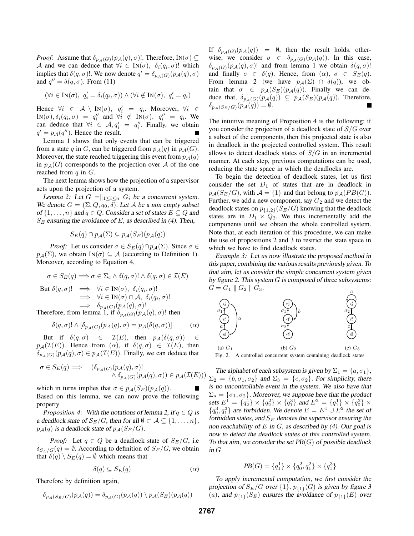*Proof:* Assume that  $\delta_{p_{\mathcal{A}}(G)}(p_{\mathcal{A}}(q), \sigma)$ !. Therefore, IN( $\sigma$ ) ⊆ A and we can deduce that  $\forall i \in \text{IN}(\sigma)$ ,  $\delta_i(q_i, \sigma)!$  which implies that  $\delta(q, \sigma)!$ . We now denote  $q' = \delta_{p_{\mathcal{A}}(G)}(p_{\mathcal{A}}(q), \sigma)$ and  $q'' = \delta(q, \sigma)$ . From (11)

$$
(\forall i \in \mathbf{IN}(\sigma), \ q'_i = \delta_i(q_i, \sigma)) \land (\forall i \notin \mathbf{IN}(\sigma), \ q'_i = q_i)
$$

Hence  $\forall i \in \mathcal{A} \setminus \text{IN}(\sigma)$ ,  $q'_i = q_i$ . Moreover,  $\forall i \in \mathcal{I}$  $\text{IN}(\sigma), \delta_i(q_i, \sigma) = q''_i$  and  $\forall i \notin \text{IN}(\sigma), q''_i = q_i$ . We can deduce that  $\forall i \in \mathcal{A}, q'_i = q''_i$ . Finally, we obtain  $q' = p_{\mathcal{A}}(q'')$ . Hence the result.

Lemma 1 shows that only events that can be triggered from a state q in G, can be triggered from  $p_{\mathcal{A}}(q)$  in  $p_{\mathcal{A}}(G)$ . Moreover, the state reached triggering this event from  $p_{\mathcal{A}}(q)$ in  $p_{\mathcal{A}}(G)$  corresponds to the projection over A of the one reached from  $q$  in  $G$ .

The next lemma shows how the projection of a supervisor acts upon the projection of a system.

*Lemma 2:* Let  $G = ||_{1 \leq i \leq n} G_i$  be a concurrent system. We denote  $G = (\Sigma, Q, q_0, \delta)$ . Let A be a non empty subset of  $\{1,\ldots,n\}$  and  $q \in Q$ . Consider a set of states  $E \subseteq Q$  and  $S_E$  ensuring the avoidance of E, as described in (4). Then,

$$
S_E(q) \cap p_{\mathcal{A}}(\Sigma) \subseteq p_{\mathcal{A}}(S_E)(p_{\mathcal{A}}(q))
$$

*Proof:* Let us consider  $\sigma \in S_E(q) \cap p_{\mathcal{A}}(\Sigma)$ . Since  $\sigma \in$  $p_{\mathcal{A}}(\Sigma)$ , we obtain IN( $\sigma$ )  $\subseteq$  A (according to Definition 1). Moreover, according to Equation 4,

$$
\sigma \in S_E(q) \Longrightarrow \sigma \in \Sigma_c \land \delta(q, \sigma)! \land \delta(q, \sigma) \in \mathcal{I}(E)
$$

But 
$$
\delta(q, \sigma)!
$$
  $\implies \forall i \in \mathbb{N}(\sigma), \ \delta_i(q_i, \sigma)!$   
\n $\implies \forall i \in \mathbb{N}(\sigma) \cap \mathcal{A}, \ \delta_i(q_i, \sigma)!$   
\n $\implies \delta_{p_{\mathcal{A}}(G)}(p_{\mathcal{A}}(q), \sigma)!$   
\nTherefore, from lemma 1, if  $\delta_{p_{\mathcal{A}}(G)}(p_{\mathcal{A}}(q), \sigma)$ ! then

$$
\delta(q,\sigma)! \wedge [\delta_{p_{\mathcal{A}}(G)}(p_{\mathcal{A}}(q),\sigma) = p_{\mathcal{A}}(\delta(q,\sigma))]
$$
 (a)

But if  $\delta(q, \sigma) \in \mathcal{I}(E)$ , then  $p_{\mathcal{A}}(\delta(q, \sigma)) \in$  $p_{\mathcal{A}}(\mathcal{I}(E))$ . Hence from  $(\alpha)$ , if  $\delta(q, \sigma) \in \mathcal{I}(E)$ , then  $\delta_{p_{\mathcal{A}}(G)}(p_{\mathcal{A}}(q), \sigma) \in p_{\mathcal{A}}(\mathcal{I}(E)).$  Finally, we can deduce that

$$
\begin{array}{ll}\sigma\in S_E(q)\Longrightarrow & (\delta_{p_{\mathcal{A}}(G)}(p_{\mathcal{A}}(q),\sigma)!\cr &\wedge\,\delta_{p_{\mathcal{A}}(G)}(p_{\mathcal{A}}(q),\sigma))\in p_{\mathcal{A}}(\mathcal{I}(E)))\end{array}
$$

which in turns implies that  $\sigma \in p_A(S_E)(p_A(q))$ . Г Based on this lemma, we can now prove the following property

*Proposition 4:* With the notations of lemma 2, if  $q \in Q$  is a deadlock state of  $\mathcal{S}_E/G$ , then for all  $\emptyset \subset \mathcal{A} \subseteq \{1,\ldots,n\}$ ,  $p_A(q)$  is a deadlock state of  $p_A(S_E/G)$ .

*Proof:* Let  $q \in Q$  be a deadlock state of  $S_E/G$ , i.e.  $\delta_{S_E/G}(q) = \emptyset$ . According to definition of  $S_E/G$ , we obtain that  $\delta(q) \setminus S_E(q) = \emptyset$  which means that

$$
\delta(q) \subseteq S_E(q) \tag{α}
$$

Therefore by definition again,

$$
\delta_{p_{\mathcal{A}}(S_E/G)}(p_{\mathcal{A}}(q)) = \delta_{p_{\mathcal{A}}(G)}(p_{\mathcal{A}}(q)) \setminus p_{\mathcal{A}}(S_E)(p_{\mathcal{A}}(q))
$$

If  $\delta_{p_{\mathcal{A}}(G)}(p_{\mathcal{A}}(q)) = \emptyset$ , then the result holds. otherwise, we consider  $\sigma \in \delta_{p_{\mathcal{A}}(G)}(p_{\mathcal{A}}(q))$ . In this case,  $\delta_{p_{\mathcal{A}}(G)}(p_{\mathcal{A}}(q), \sigma)!$  and from lemma 1 we obtain  $\delta(q, \sigma)!$ and finally  $\sigma \in \delta(q)$ . Hence, from  $(\alpha)$ ,  $\sigma \in S_E(q)$ . From lemma 2 (we have  $p_{\mathcal{A}}(\Sigma) \cap \delta(q)$ ), we obtain that  $\sigma \in p_{\mathcal{A}}(S_E)(p_{\mathcal{A}}(q))$ . Finally we can deduce that,  $\delta_{p_{\mathcal{A}}(G)}(p_{\mathcal{A}}(q)) \subseteq p_{\mathcal{A}}(S_E)(p_{\mathcal{A}}(q))$ . Therefore,  $\delta_{p_{\mathcal{A}}(S_E/G)}(p_{\mathcal{A}}(q)) = \emptyset.$ 

The intuitive meaning of Proposition 4 is the following: if you consider the projection of a deadlock state of  $S/G$  over a subset of the components, then this projected state is also in deadlock in the projected controlled system. This result allows to detect deadlock states of  $S/G$  in an incremental manner. At each step, previous computations can be used, reducing the state space in which the deadlocks are.

To begin the detection of deadlock states, let us first consider the set  $D_1$  of states that are in deadlock in  $p_{\mathcal{A}}(S_E/G)$ , with  $\mathcal{A} = \{1\}$  and that belong to  $p_{\mathcal{A}}(PB(G))$ . Further, we add a new component, say  $G_2$  and we detect the deadlock states on  $p_{\{1,2\}}(S_E/G)$  knowing that the deadlock states are in  $D_1 \times Q_2$ . We thus incrementally add the components until we obtain the whole controlled system. Note that, at each iteration of this procedure, we can make the use of propositions 2 and 3 to restrict the state space in which we have to find deadlock states.

*Example 3:* Let us now illustrate the proposed method in this paper, combining the various results previously given. To that aim, let us consider the simple concurrent system given by figure 2. This system  $G$  is composed of three subsystems:  $G = G_1 \, \| \, G_2 \, \| \, G_3.$ c



Fig. 2. A controlled concurrent system containing deadlock states

The alphabet of each subsystem is given by  $\Sigma_1 = \{a, \sigma_1\},\$  $\Sigma_2 = \{b, \sigma_1, \sigma_2\}$  and  $\Sigma_3 = \{c, \sigma_2\}$ . For simplicity, there is no uncontrollable event in the system. We also have that  $\Sigma_s = {\sigma_1, \sigma_2}$ . Moreover, we suppose here that the product sets  $E_1^1 = \{q_2^1\} \times \{q_2^2\} \times \{q_1^3\}$  and  $E_1^2 = \{q_1^1\} \times \{q_0^2\} \times \{q_1^3\}$  ${q_0^3, q_1^3}$  are forbidden. We denote  $E = E^1 \cup E^2$  the set of forbidden states, and  $S_E$  denotes the supervisor ensuring the non reachability of  $E$  in  $G$ , as described by (4). Our goal is now to detect the deadlock states of this controlled system. To that aim, we consider the set  $PB(G)$  of possible deadlock in G

$$
PB(G) = \{q_1^1\} \times \{q_0^2, q_1^2\} \times \{q_1^3\}
$$

To apply incremental computation, we first consider the projection of  $S_E/G$  over  $\{1\}$ .  $p_{\{1\}}(G)$  is given by figure 3 (a), and  $p_{\{1\}}(S_E)$  ensures the avoidance of  $p_{\{1\}}(E)$  over